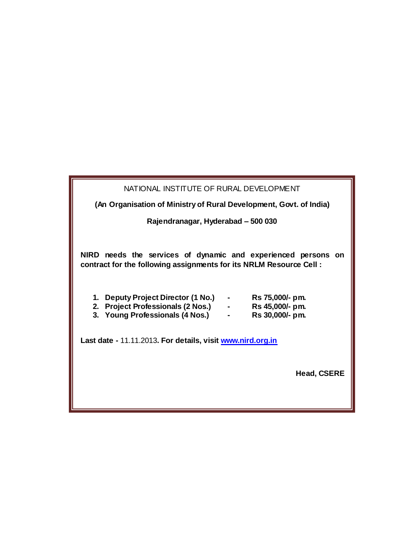| NATIONAL INSTITUTE OF RURAL DEVELOPMENT                                                                                                                                                                                                                                         |                                                       |
|---------------------------------------------------------------------------------------------------------------------------------------------------------------------------------------------------------------------------------------------------------------------------------|-------------------------------------------------------|
| (An Organisation of Ministry of Rural Development, Govt. of India)                                                                                                                                                                                                              |                                                       |
| Rajendranagar, Hyderabad - 500 030                                                                                                                                                                                                                                              |                                                       |
| NIRD needs the services of dynamic and experienced persons on<br>contract for the following assignments for its NRLM Resource Cell:<br>1. Deputy Project Director (1 No.)<br>2. Project Professionals (2 Nos.) -<br>3. Young Professionals (4 Nos.)<br><b>Contract Contract</b> | Rs 75,000/- pm.<br>Rs 45,000/- pm.<br>Rs 30,000/- pm. |
| Last date - 11.11.2013. For details, visit www.nird.org.in<br><b>Head, CSERE</b>                                                                                                                                                                                                |                                                       |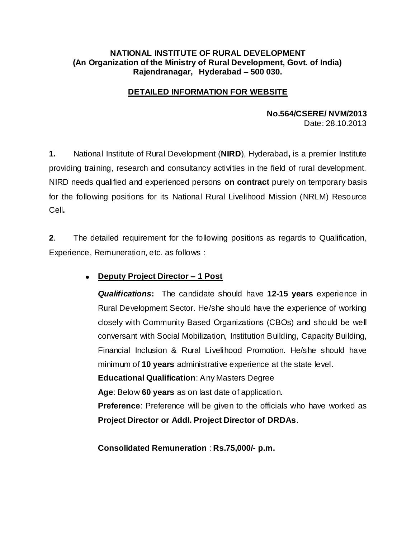### **NATIONAL INSTITUTE OF RURAL DEVELOPMENT (An Organization of the Ministry of Rural Development, Govt. of India) Rajendranagar, Hyderabad – 500 030.**

## **DETAILED INFORMATION FOR WEBSITE**

# **No.564/CSERE/ NVM/2013**

Date: 28.10.2013

**1.** National Institute of Rural Development (**NIRD**), Hyderabad**,** is a premier Institute providing training, research and consultancy activities in the field of rural development. NIRD needs qualified and experienced persons **on contract** purely on temporary basis for the following positions for its National Rural Livelihood Mission (NRLM) Resource Cell**.** 

**2**. The detailed requirement for the following positions as regards to Qualification, Experience, Remuneration, etc. as follows :

# **Deputy Project Director – 1 Post**

*Qualifications***:** The candidate should have **12-15 years** experience in Rural Development Sector. He/she should have the experience of working closely with Community Based Organizations (CBOs) and should be well conversant with Social Mobilization, Institution Building, Capacity Building, Financial Inclusion & Rural Livelihood Promotion. He/she should have minimum of **10 years** administrative experience at the state level.

**Educational Qualification**: Any Masters Degree

**Age**: Below **60 years** as on last date of application.

**Preference**: Preference will be given to the officials who have worked as **Project Director or Addl. Project Director of DRDAs**.

**Consolidated Remuneration** : **Rs.75,000/- p.m.**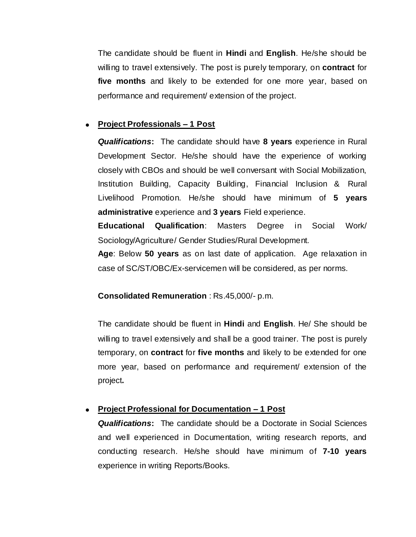The candidate should be fluent in **Hindi** and **English**. He/she should be willing to travel extensively. The post is purely temporary, on **contract** for **five months** and likely to be extended for one more year, based on performance and requirement/ extension of the project.

## **Project Professionals – 1 Post**

*Qualifications***:** The candidate should have **8 years** experience in Rural Development Sector. He/she should have the experience of working closely with CBOs and should be well conversant with Social Mobilization, Institution Building, Capacity Building, Financial Inclusion & Rural Livelihood Promotion. He/she should have minimum of **5 years administrative** experience and **3 years** Field experience.

**Educational Qualification**: Masters Degree in Social Work/ Sociology/Agriculture/ Gender Studies/Rural Development.

**Age**: Below **50 years** as on last date of application. Age relaxation in case of SC/ST/OBC/Ex-servicemen will be considered, as per norms.

### **Consolidated Remuneration** : Rs.45,000/- p.m.

The candidate should be fluent in **Hindi** and **English**. He/ She should be willing to travel extensively and shall be a good trainer. The post is purely temporary, on **contract** for **five months** and likely to be extended for one more year, based on performance and requirement/ extension of the project**.**

# **Project Professional for Documentation – 1 Post**

*Qualifications***:** The candidate should be a Doctorate in Social Sciences and well experienced in Documentation, writing research reports, and conducting research. He/she should have minimum of **7-10 years** experience in writing Reports/Books.